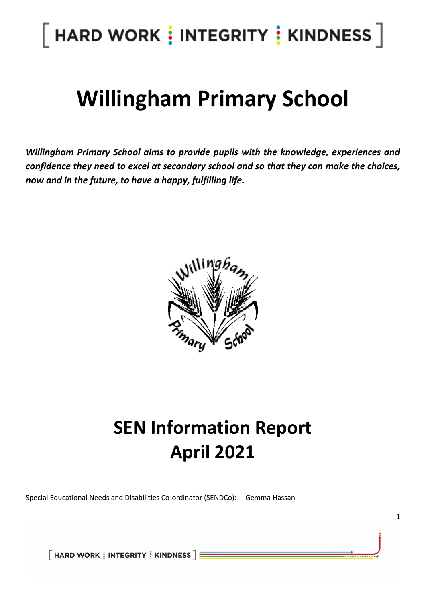### $[$  HARD WORK  $\vdots$  INTEGRITY  $\vdots$  KINDNESS  $]$

### **Willingham Primary School**

*Willingham Primary School aims to provide pupils with the knowledge, experiences and confidence they need to excel at secondary school and so that they can make the choices, now and in the future, to have a happy, fulfilling life.*



### **SEN Information Report April 2021**

1

Special Educational Needs and Disabilities Co-ordinator (SENDCo): Gemma Hassan

 $\lceil$  HARD WORK  $\frac{1}{2}$  INTEGRITY  $\frac{1}{2}$  KINDNESS  $\rceil$   $\equiv$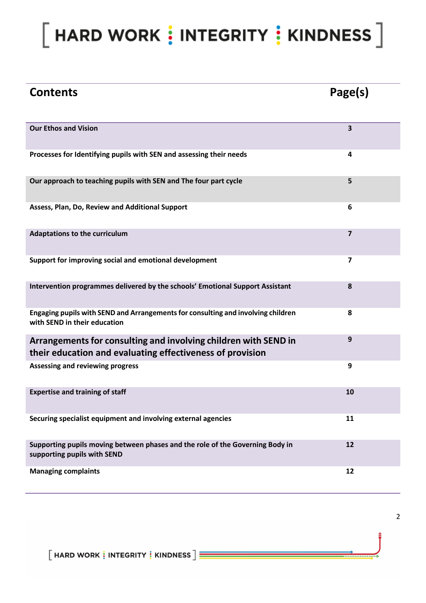### $[$  HARD WORK  $\vdots$  INTEGRITY  $\vdots$  KINDNESS  $]$

| <b>Contents</b>                                                                                                              | Page(s)        |
|------------------------------------------------------------------------------------------------------------------------------|----------------|
| <b>Our Ethos and Vision</b>                                                                                                  | 3              |
| Processes for Identifying pupils with SEN and assessing their needs                                                          | 4              |
| Our approach to teaching pupils with SEN and The four part cycle                                                             | 5              |
| Assess, Plan, Do, Review and Additional Support                                                                              | 6              |
| <b>Adaptations to the curriculum</b>                                                                                         | $\overline{7}$ |
| Support for improving social and emotional development                                                                       | 7              |
| Intervention programmes delivered by the schools' Emotional Support Assistant                                                | 8              |
| Engaging pupils with SEND and Arrangements for consulting and involving children<br>with SEND in their education             | 8              |
| Arrangements for consulting and involving children with SEND in<br>their education and evaluating effectiveness of provision | 9              |
| <b>Assessing and reviewing progress</b>                                                                                      | 9              |
| <b>Expertise and training of staff</b>                                                                                       | 10             |
| Securing specialist equipment and involving external agencies                                                                | 11             |
| Supporting pupils moving between phases and the role of the Governing Body in<br>supporting pupils with SEND                 | 12             |
| <b>Managing complaints</b>                                                                                                   | 12             |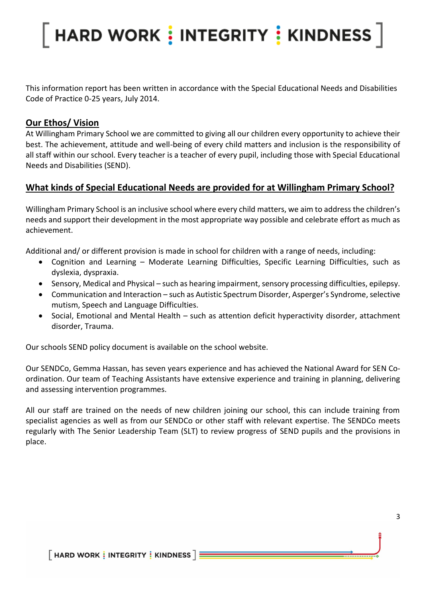This information report has been written in accordance with the Special Educational Needs and Disabilities Code of Practice 0-25 years, July 2014.

#### **Our Ethos/ Vision**

At Willingham Primary School we are committed to giving all our children every opportunity to achieve their best. The achievement, attitude and well-being of every child matters and inclusion is the responsibility of all staff within our school. Every teacher is a teacher of every pupil, including those with Special Educational Needs and Disabilities (SEND).

### **What kinds of Special Educational Needs are provided for at Willingham Primary School?**

Willingham Primary School is an inclusive school where every child matters, we aim to address the children's needs and support their development in the most appropriate way possible and celebrate effort as much as achievement.

Additional and/ or different provision is made in school for children with a range of needs, including:

- Cognition and Learning Moderate Learning Difficulties, Specific Learning Difficulties, such as dyslexia, dyspraxia.
- Sensory, Medical and Physical such as hearing impairment, sensory processing difficulties, epilepsy.
- Communication and Interaction such as Autistic Spectrum Disorder, Asperger's Syndrome, selective mutism, Speech and Language Difficulties.
- Social, Emotional and Mental Health such as attention deficit hyperactivity disorder, attachment disorder, Trauma.

Our schools SEND policy document is available on the school website.

Our SENDCo, Gemma Hassan, has seven years experience and has achieved the National Award for SEN Coordination. Our team of Teaching Assistants have extensive experience and training in planning, delivering and assessing intervention programmes.

All our staff are trained on the needs of new children joining our school, this can include training from specialist agencies as well as from our SENDCo or other staff with relevant expertise. The SENDCo meets regularly with The Senior Leadership Team (SLT) to review progress of SEND pupils and the provisions in place.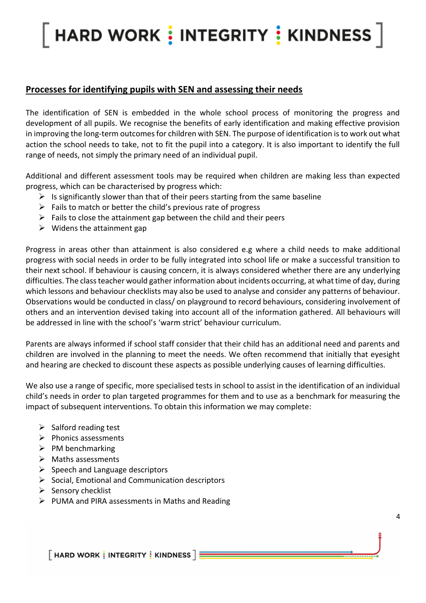#### **Processes for identifying pupils with SEN and assessing their needs**

The identification of SEN is embedded in the whole school process of monitoring the progress and development of all pupils. We recognise the benefits of early identification and making effective provision in improving the long-term outcomes for children with SEN. The purpose of identification is to work out what action the school needs to take, not to fit the pupil into a category. It is also important to identify the full range of needs, not simply the primary need of an individual pupil.

Additional and different assessment tools may be required when children are making less than expected progress, which can be characterised by progress which:

- $\triangleright$  Is significantly slower than that of their peers starting from the same baseline
- $\triangleright$  Fails to match or better the child's previous rate of progress
- $\triangleright$  Fails to close the attainment gap between the child and their peers
- $\triangleright$  Widens the attainment gap

Progress in areas other than attainment is also considered e.g where a child needs to make additional progress with social needs in order to be fully integrated into school life or make a successful transition to their next school. If behaviour is causing concern, it is always considered whether there are any underlying difficulties. The class teacher would gather information about incidents occurring, at what time of day, during which lessons and behaviour checklists may also be used to analyse and consider any patterns of behaviour. Observations would be conducted in class/ on playground to record behaviours, considering involvement of others and an intervention devised taking into account all of the information gathered. All behaviours will be addressed in line with the school's 'warm strict' behaviour curriculum.

Parents are always informed if school staff consider that their child has an additional need and parents and children are involved in the planning to meet the needs. We often recommend that initially that eyesight and hearing are checked to discount these aspects as possible underlying causes of learning difficulties.

We also use a range of specific, more specialised tests in school to assist in the identification of an individual child's needs in order to plan targeted programmes for them and to use as a benchmark for measuring the impact of subsequent interventions. To obtain this information we may complete:

- $\triangleright$  Salford reading test
- ➢ Phonics assessments
- $\triangleright$  PM benchmarking
- ➢ Maths assessments
- $\triangleright$  Speech and Language descriptors
- $\triangleright$  Social, Emotional and Communication descriptors
- ➢ Sensory checklist
- ➢ PUMA and PIRA assessments in Maths and Reading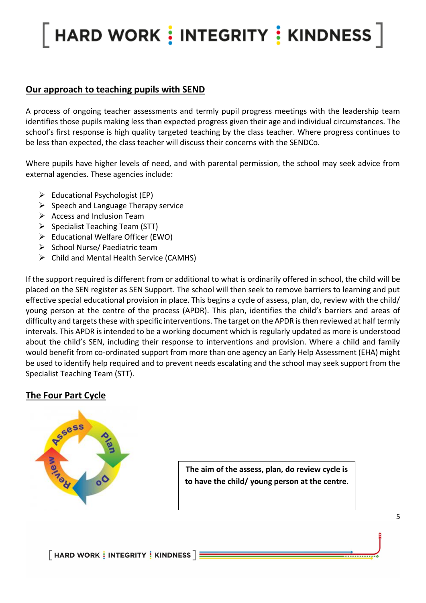#### **Our approach to teaching pupils with SEND**

A process of ongoing teacher assessments and termly pupil progress meetings with the leadership team identifies those pupils making less than expected progress given their age and individual circumstances. The school's first response is high quality targeted teaching by the class teacher. Where progress continues to be less than expected, the class teacher will discuss their concerns with the SENDCo.

Where pupils have higher levels of need, and with parental permission, the school may seek advice from external agencies. These agencies include:

- $\triangleright$  Educational Psychologist (EP)
- $\triangleright$  Speech and Language Therapy service
- $\triangleright$  Access and Inclusion Team
- ➢ Specialist Teaching Team (STT)
- ➢ Educational Welfare Officer (EWO)
- ➢ School Nurse/ Paediatric team
- ➢ Child and Mental Health Service (CAMHS)

If the support required is different from or additional to what is ordinarily offered in school, the child will be placed on the SEN register as SEN Support. The school will then seek to remove barriers to learning and put effective special educational provision in place. This begins a cycle of assess, plan, do, review with the child/ young person at the centre of the process (APDR). This plan, identifies the child's barriers and areas of difficulty and targets these with specific interventions. The target on the APDR is then reviewed at half termly intervals. This APDR is intended to be a working document which is regularly updated as more is understood about the child's SEN, including their response to interventions and provision. Where a child and family would benefit from co-ordinated support from more than one agency an Early Help Assessment (EHA) might be used to identify help required and to prevent needs escalating and the school may seek support from the Specialist Teaching Team (STT).

#### **The Four Part Cycle**



**The aim of the assess, plan, do review cycle is to have the child/ young person at the centre.**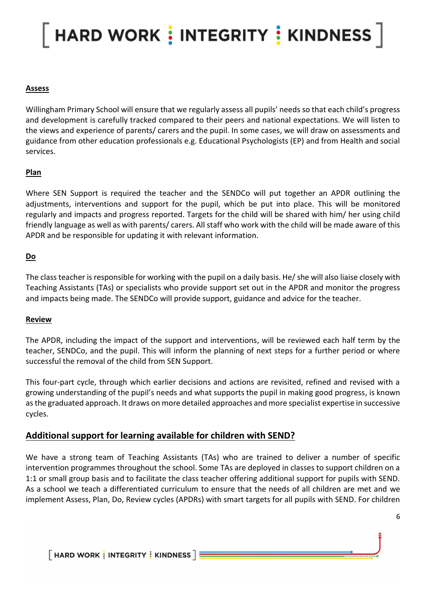#### **Assess**

Willingham Primary School will ensure that we regularly assess all pupils' needs so that each child's progress and development is carefully tracked compared to their peers and national expectations. We will listen to the views and experience of parents/ carers and the pupil. In some cases, we will draw on assessments and guidance from other education professionals e.g. Educational Psychologists (EP) and from Health and social services.

#### **Plan**

Where SEN Support is required the teacher and the SENDCo will put together an APDR outlining the adjustments, interventions and support for the pupil, which be put into place. This will be monitored regularly and impacts and progress reported. Targets for the child will be shared with him/ her using child friendly language as well as with parents/ carers. All staff who work with the child will be made aware of this APDR and be responsible for updating it with relevant information.

#### **Do**

The class teacher is responsible for working with the pupil on a daily basis. He/ she will also liaise closely with Teaching Assistants (TAs) or specialists who provide support set out in the APDR and monitor the progress and impacts being made. The SENDCo will provide support, guidance and advice for the teacher.

#### **Review**

The APDR, including the impact of the support and interventions, will be reviewed each half term by the teacher, SENDCo, and the pupil. This will inform the planning of next steps for a further period or where successful the removal of the child from SEN Support.

This four-part cycle, through which earlier decisions and actions are revisited, refined and revised with a growing understanding of the pupil's needs and what supports the pupil in making good progress, is known as the graduated approach. It draws on more detailed approaches and more specialist expertise in successive cycles.

#### **Additional support for learning available for children with SEND?**

We have a strong team of Teaching Assistants (TAs) who are trained to deliver a number of specific intervention programmes throughout the school. Some TAs are deployed in classes to support children on a 1:1 or small group basis and to facilitate the class teacher offering additional support for pupils with SEND. As a school we teach a differentiated curriculum to ensure that the needs of all children are met and we implement Assess, Plan, Do, Review cycles (APDRs) with smart targets for all pupils with SEND. For children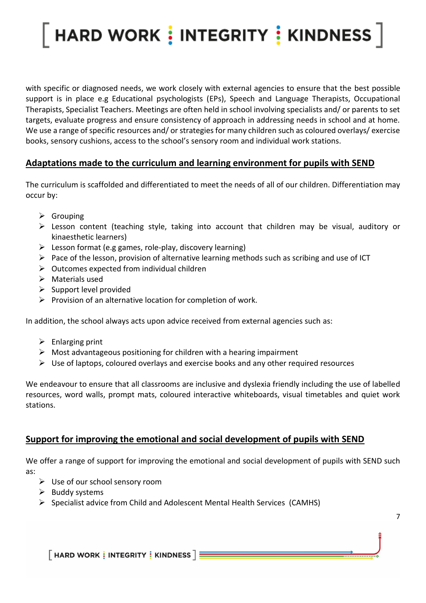with specific or diagnosed needs, we work closely with external agencies to ensure that the best possible support is in place e.g Educational psychologists (EPs), Speech and Language Therapists, Occupational Therapists, Specialist Teachers. Meetings are often held in school involving specialists and/ or parents to set targets, evaluate progress and ensure consistency of approach in addressing needs in school and at home. We use a range of specific resources and/ or strategies for many children such as coloured overlays/ exercise books, sensory cushions, access to the school's sensory room and individual work stations.

### **Adaptations made to the curriculum and learning environment for pupils with SEND**

The curriculum is scaffolded and differentiated to meet the needs of all of our children. Differentiation may occur by:

- ➢ Grouping
- ➢ Lesson content (teaching style, taking into account that children may be visual, auditory or kinaesthetic learners)
- $\triangleright$  Lesson format (e.g games, role-play, discovery learning)
- ➢ Pace of the lesson, provision of alternative learning methods such as scribing and use of ICT
- $\triangleright$  Outcomes expected from individual children
- ➢ Materials used
- $\triangleright$  Support level provided
- $\triangleright$  Provision of an alternative location for completion of work.

In addition, the school always acts upon advice received from external agencies such as:

- $\triangleright$  Enlarging print
- $\triangleright$  Most advantageous positioning for children with a hearing impairment
- $\triangleright$  Use of laptops, coloured overlays and exercise books and any other required resources

We endeavour to ensure that all classrooms are inclusive and dyslexia friendly including the use of labelled resources, word walls, prompt mats, coloured interactive whiteboards, visual timetables and quiet work stations.

#### **Support for improving the emotional and social development of pupils with SEND**

We offer a range of support for improving the emotional and social development of pupils with SEND such as:

7

- $\triangleright$  Use of our school sensory room
- $\triangleright$  Buddy systems
- ➢ Specialist advice from Child and Adolescent Mental Health Services (CAMHS)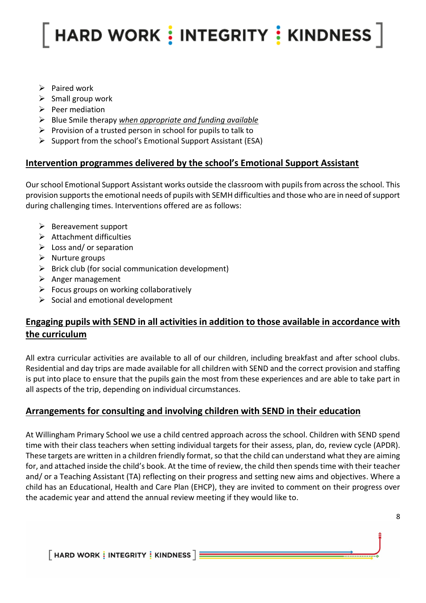- ➢ Paired work
- $\triangleright$  Small group work
- $\triangleright$  Peer mediation
- ➢ Blue Smile therapy *when appropriate and funding available*
- $\triangleright$  Provision of a trusted person in school for pupils to talk to
- ➢ Support from the school's Emotional Support Assistant (ESA)

#### **Intervention programmes delivered by the school's Emotional Support Assistant**

Our school Emotional Support Assistant works outside the classroom with pupils from across the school. This provision supports the emotional needs of pupils with SEMH difficulties and those who are in need of support during challenging times. Interventions offered are as follows:

- ➢ Bereavement support
- $\triangleright$  Attachment difficulties
- $\triangleright$  Loss and/ or separation
- $\triangleright$  Nurture groups
- $\triangleright$  Brick club (for social communication development)
- ➢ Anger management
- $\triangleright$  Focus groups on working collaboratively
- $\triangleright$  Social and emotional development

### **Engaging pupils with SEND in all activities in addition to those available in accordance with the curriculum**

All extra curricular activities are available to all of our children, including breakfast and after school clubs. Residential and day trips are made available for all children with SEND and the correct provision and staffing is put into place to ensure that the pupils gain the most from these experiences and are able to take part in all aspects of the trip, depending on individual circumstances.

### **Arrangements for consulting and involving children with SEND in their education**

At Willingham Primary School we use a child centred approach across the school. Children with SEND spend time with their class teachers when setting individual targets for their assess, plan, do, review cycle (APDR). These targets are written in a children friendly format, so that the child can understand what they are aiming for, and attached inside the child's book. At the time of review, the child then spends time with their teacher and/ or a Teaching Assistant (TA) reflecting on their progress and setting new aims and objectives. Where a child has an Educational, Health and Care Plan (EHCP), they are invited to comment on their progress over the academic year and attend the annual review meeting if they would like to.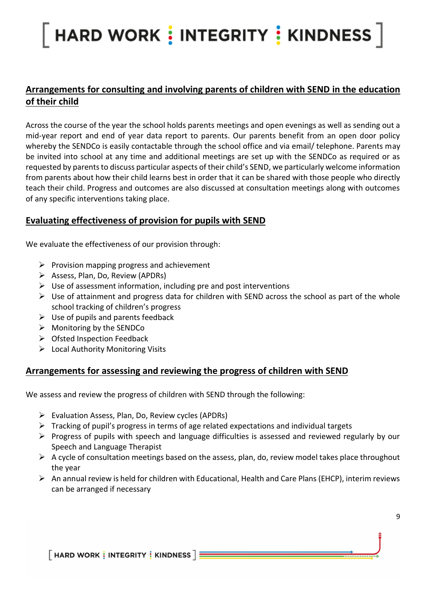### **Arrangements for consulting and involving parents of children with SEND in the education of their child**

Across the course of the year the school holds parents meetings and open evenings as well as sending out a mid-year report and end of year data report to parents. Our parents benefit from an open door policy whereby the SENDCo is easily contactable through the school office and via email/ telephone. Parents may be invited into school at any time and additional meetings are set up with the SENDCo as required or as requested by parents to discuss particular aspects of their child's SEND, we particularly welcome information from parents about how their child learns best in order that it can be shared with those people who directly teach their child. Progress and outcomes are also discussed at consultation meetings along with outcomes of any specific interventions taking place.

#### **Evaluating effectiveness of provision for pupils with SEND**

We evaluate the effectiveness of our provision through:

- $\triangleright$  Provision mapping progress and achievement
- ➢ Assess, Plan, Do, Review (APDRs)
- $\triangleright$  Use of assessment information, including pre and post interventions
- $\triangleright$  Use of attainment and progress data for children with SEND across the school as part of the whole school tracking of children's progress
- $\triangleright$  Use of pupils and parents feedback
- $\triangleright$  Monitoring by the SENDCo
- $\triangleright$  Ofsted Inspection Feedback
- ➢ Local Authority Monitoring Visits

#### **Arrangements for assessing and reviewing the progress of children with SEND**

We assess and review the progress of children with SEND through the following:

- ➢ Evaluation Assess, Plan, Do, Review cycles (APDRs)
- $\triangleright$  Tracking of pupil's progress in terms of age related expectations and individual targets
- ➢ Progress of pupils with speech and language difficulties is assessed and reviewed regularly by our Speech and Language Therapist
- $\triangleright$  A cycle of consultation meetings based on the assess, plan, do, review model takes place throughout the year
- $\triangleright$  An annual review is held for children with Educational, Health and Care Plans (EHCP), interim reviews can be arranged if necessary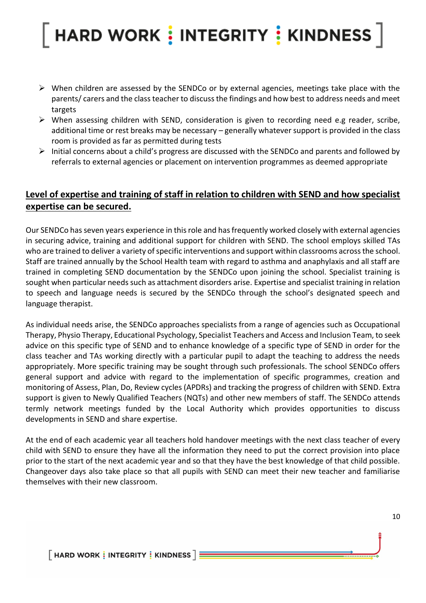- ➢ When children are assessed by the SENDCo or by external agencies, meetings take place with the parents/ carers and the class teacher to discuss the findings and how best to address needs and meet targets
- $\triangleright$  When assessing children with SEND, consideration is given to recording need e.g reader, scribe, additional time or rest breaks may be necessary – generally whatever support is provided in the class room is provided as far as permitted during tests
- ➢ Initial concerns about a child's progress are discussed with the SENDCo and parents and followed by referrals to external agencies or placement on intervention programmes as deemed appropriate

### **Level of expertise and training of staff in relation to children with SEND and how specialist expertise can be secured.**

Our SENDCo has seven years experience in this role and has frequently worked closely with external agencies in securing advice, training and additional support for children with SEND. The school employs skilled TAs who are trained to deliver a variety of specific interventions and support within classrooms across the school. Staff are trained annually by the School Health team with regard to asthma and anaphylaxis and all staff are trained in completing SEND documentation by the SENDCo upon joining the school. Specialist training is sought when particular needs such as attachment disorders arise. Expertise and specialist training in relation to speech and language needs is secured by the SENDCo through the school's designated speech and language therapist.

As individual needs arise, the SENDCo approaches specialists from a range of agencies such as Occupational Therapy, Physio Therapy, Educational Psychology, Specialist Teachers and Access and Inclusion Team, to seek advice on this specific type of SEND and to enhance knowledge of a specific type of SEND in order for the class teacher and TAs working directly with a particular pupil to adapt the teaching to address the needs appropriately. More specific training may be sought through such professionals. The school SENDCo offers general support and advice with regard to the implementation of specific programmes, creation and monitoring of Assess, Plan, Do, Review cycles (APDRs) and tracking the progress of children with SEND. Extra support is given to Newly Qualified Teachers (NQTs) and other new members of staff. The SENDCo attends termly network meetings funded by the Local Authority which provides opportunities to discuss developments in SEND and share expertise.

At the end of each academic year all teachers hold handover meetings with the next class teacher of every child with SEND to ensure they have all the information they need to put the correct provision into place prior to the start of the next academic year and so that they have the best knowledge of that child possible. Changeover days also take place so that all pupils with SEND can meet their new teacher and familiarise themselves with their new classroom.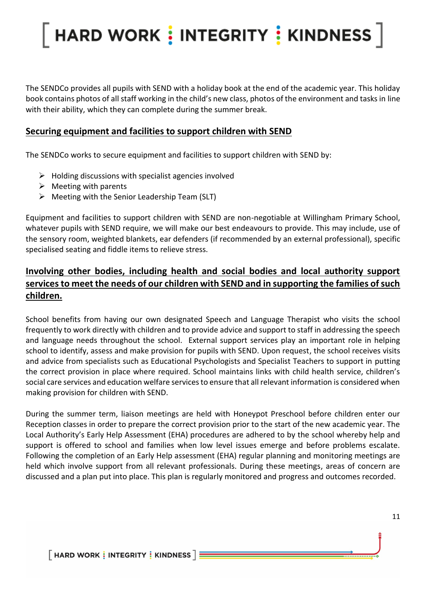The SENDCo provides all pupils with SEND with a holiday book at the end of the academic year. This holiday book contains photos of all staff working in the child's new class, photos of the environment and tasks in line with their ability, which they can complete during the summer break.

#### **Securing equipment and facilities to support children with SEND**

The SENDCo works to secure equipment and facilities to support children with SEND by:

- $\triangleright$  Holding discussions with specialist agencies involved
- $\triangleright$  Meeting with parents
- ➢ Meeting with the Senior Leadership Team (SLT)

Equipment and facilities to support children with SEND are non-negotiable at Willingham Primary School, whatever pupils with SEND require, we will make our best endeavours to provide. This may include, use of the sensory room, weighted blankets, ear defenders (if recommended by an external professional), specific specialised seating and fiddle items to relieve stress.

### **Involving other bodies, including health and social bodies and local authority support services to meet the needs of our children with SEND and in supporting the families of such children.**

School benefits from having our own designated Speech and Language Therapist who visits the school frequently to work directly with children and to provide advice and support to staff in addressing the speech and language needs throughout the school. External support services play an important role in helping school to identify, assess and make provision for pupils with SEND. Upon request, the school receives visits and advice from specialists such as Educational Psychologists and Specialist Teachers to support in putting the correct provision in place where required. School maintains links with child health service, children's social care services and education welfare services to ensure that all relevant information is considered when making provision for children with SEND.

During the summer term, liaison meetings are held with Honeypot Preschool before children enter our Reception classes in order to prepare the correct provision prior to the start of the new academic year. The Local Authority's Early Help Assessment (EHA) procedures are adhered to by the school whereby help and support is offered to school and families when low level issues emerge and before problems escalate. Following the completion of an Early Help assessment (EHA) regular planning and monitoring meetings are held which involve support from all relevant professionals. During these meetings, areas of concern are discussed and a plan put into place. This plan is regularly monitored and progress and outcomes recorded.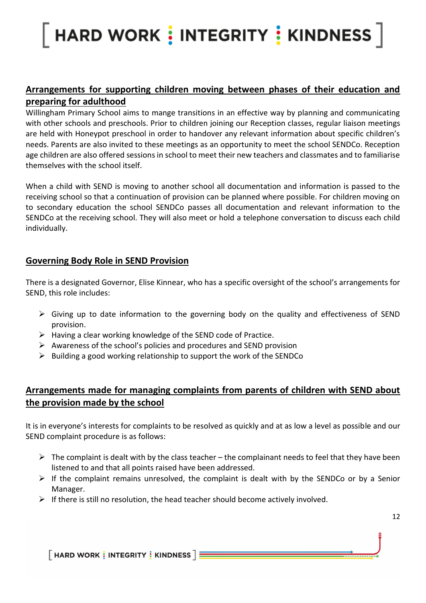### **Arrangements for supporting children moving between phases of their education and preparing for adulthood**

Willingham Primary School aims to mange transitions in an effective way by planning and communicating with other schools and preschools. Prior to children joining our Reception classes, regular liaison meetings are held with Honeypot preschool in order to handover any relevant information about specific children's needs. Parents are also invited to these meetings as an opportunity to meet the school SENDCo. Reception age children are also offered sessions in school to meet their new teachers and classmates and to familiarise themselves with the school itself.

When a child with SEND is moving to another school all documentation and information is passed to the receiving school so that a continuation of provision can be planned where possible. For children moving on to secondary education the school SENDCo passes all documentation and relevant information to the SENDCo at the receiving school. They will also meet or hold a telephone conversation to discuss each child individually.

#### **Governing Body Role in SEND Provision**

There is a designated Governor, Elise Kinnear, who has a specific oversight of the school's arrangements for SEND, this role includes:

- $\triangleright$  Giving up to date information to the governing body on the quality and effectiveness of SEND provision.
- $\triangleright$  Having a clear working knowledge of the SEND code of Practice.
- $\triangleright$  Awareness of the school's policies and procedures and SEND provision
- ➢ Building a good working relationship to support the work of the SENDCo

### **Arrangements made for managing complaints from parents of children with SEND about the provision made by the school**

It is in everyone's interests for complaints to be resolved as quickly and at as low a level as possible and our SEND complaint procedure is as follows:

- $\triangleright$  The complaint is dealt with by the class teacher the complainant needs to feel that they have been listened to and that all points raised have been addressed.
- $\triangleright$  If the complaint remains unresolved, the complaint is dealt with by the SENDCo or by a Senior Manager.
- $\triangleright$  If there is still no resolution, the head teacher should become actively involved.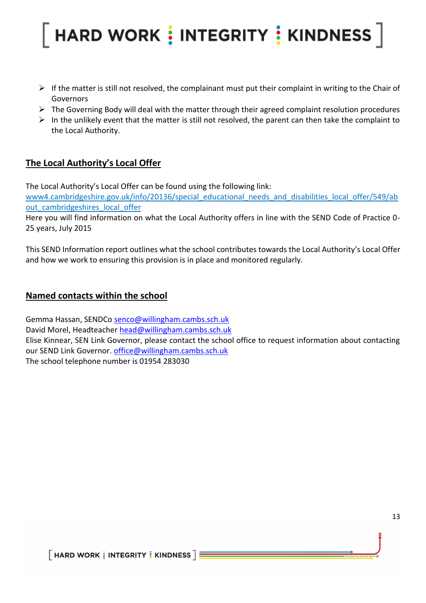- $\triangleright$  If the matter is still not resolved, the complainant must put their complaint in writing to the Chair of Governors
- ➢ The Governing Body will deal with the matter through their agreed complaint resolution procedures
- $\triangleright$  In the unlikely event that the matter is still not resolved, the parent can then take the complaint to the Local Authority.

### **The Local Authority's Local Offer**

The Local Authority's Local Offer can be found using the following link:

[www4.cambridgeshire.gov.uk/info/20136/special\\_educational\\_needs\\_and\\_disabilities\\_local\\_offer/549/ab](http://www4.cambridgeshire.gov.uk/info/20136/special_educational_needs_and_disabilities_local_offer/549/about_cambridgeshires_local_offer) out cambridgeshires local offer

Here you will find information on what the Local Authority offers in line with the SEND Code of Practice 0- 25 years, July 2015

This SEND Information report outlines what the school contributes towards the Local Authority's Local Offer and how we work to ensuring this provision is in place and monitored regularly.

#### **Named contacts within the school**

Gemma Hassan, SENDCo [senco@willingham.cambs.sch.uk](mailto:senco@willingham.cambs.sch.uk) David Morel, Headteacher [head@willingham.cambs.sch.uk](mailto:head@willingham.cambs.sch.uk) Elise Kinnear, SEN Link Governor, please contact the school office to request information about contacting our SEND Link Governor. [office@willingham.cambs.sch.uk](mailto:office@willingham.cambs.sch.uk) The school telephone number is 01954 283030